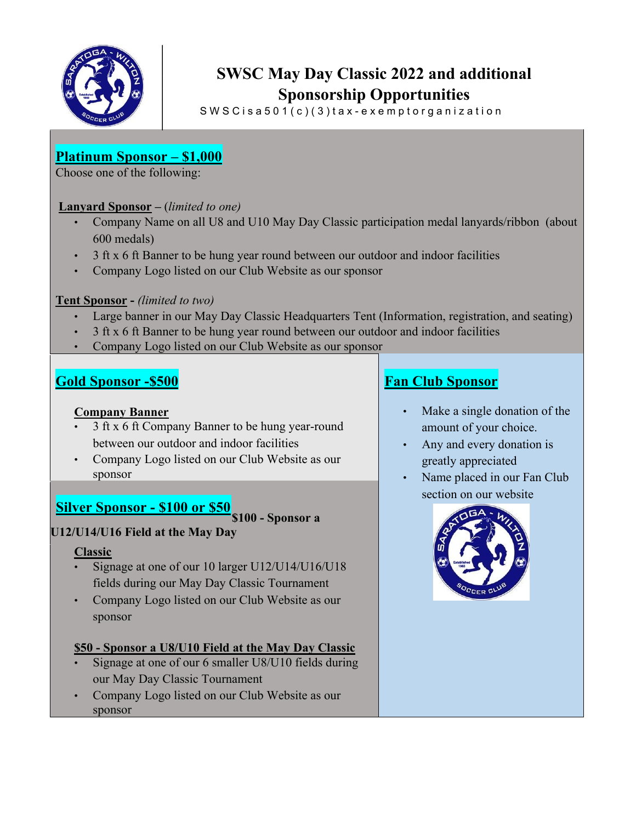

# **SWSC May Day Classic 2022 and additional Sponsorship Opportunities**

 $SWSC is a 501(c)(3) tax-exemptorg and ization$ 

## **Platinum Sponsor – \$1,000**

Choose one of the following:

#### **Lanyard Sponsor –** (*limited to one)*

- Company Name on all U8 and U10 May Day Classic participation medal lanyards/ribbon (about 600 medals)
- 3 ft x 6 ft Banner to be hung year round between our outdoor and indoor facilities
- Company Logo listed on our Club Website as our sponsor

#### **Tent Sponsor -** *(limited to two)*

- Large banner in our May Day Classic Headquarters Tent (Information, registration, and seating)
- 3 ft x 6 ft Banner to be hung year round between our outdoor and indoor facilities
- Company Logo listed on our Club Website as our sponsor

## **Gold Sponsor -\$500**

#### **Company Banner**

- 3 ft x 6 ft Company Banner to be hung year-round between our outdoor and indoor facilities
- Company Logo listed on our Club Website as our sponsor

## **Silver Sponsor - \$100 or \$50**



## **U12/U14/U16 Field at the May Day**

#### **Classic**

- Signage at one of our 10 larger U12/U14/U16/U18 fields during our May Day Classic Tournament
- Company Logo listed on our Club Website as our sponsor

## **\$50 - Sponsor a U8/U10 Field at the May Day Classic**

- Signage at one of our 6 smaller U8/U10 fields during our May Day Classic Tournament
- Company Logo listed on our Club Website as our sponsor

## **Fan Club Sponsor**

- Make a single donation of the amount of your choice.
- Any and every donation is greatly appreciated
- Name placed in our Fan Club section on our website